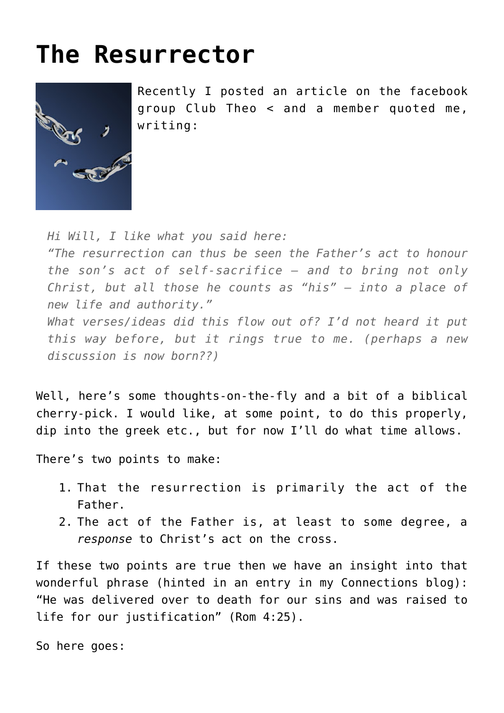## **[The Resurrector](https://briggs.id.au/jour/2008/03/the-resurrector/)**



Recently I posted an article on the facebook group [Club Theo](http://www.facebook.com/group.php?gid=8476814377) < and a member quoted me, writing:

*Hi Will, I like what you said here:*

*"The resurrection can thus be seen the Father's act to honour the son's act of self-sacrifice – and to bring not only Christ, but all those he counts as "his" – into a place of new life and authority."*

*What verses/ideas did this flow out of? I'd not heard it put this way before, but it rings true to me. (perhaps a new discussion is now born??)*

Well, here's some thoughts-on-the-fly and a bit of a biblical cherry-pick. I would like, at some point, to do this properly, dip into the greek etc., but for now I'll do what time allows.

There's two points to make:

- 1. That the resurrection is primarily the act of the Father.
- 2. The act of the Father is, at least to some degree, a *response* to Christ's act on the cross.

If these two points are true then we have an insight into that wonderful phrase (hinted in [an entry in my Connections blog](http://will-briggs.blogspot.com/2008/03/easter-explanations.html)): "He was delivered over to death for our sins and was raised to life for our justification" (Rom 4:25).

So here goes: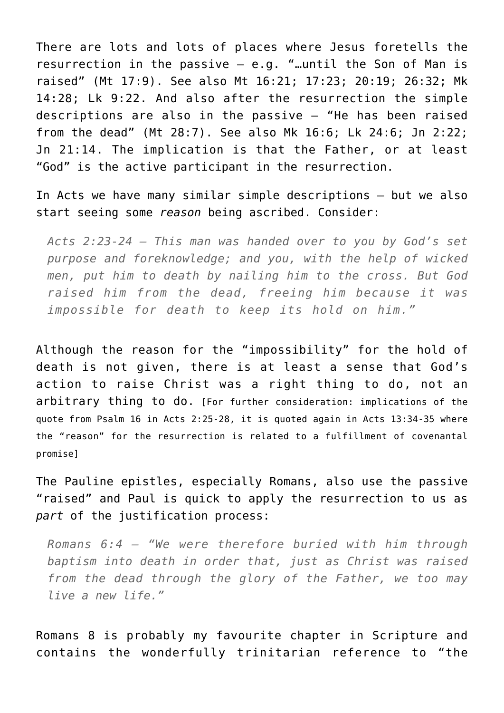There are lots and lots of places where Jesus foretells the resurrection in the passive – e.g. "…until the Son of Man is raised" (Mt 17:9). See also Mt 16:21; 17:23; 20:19; 26:32; Mk 14:28; Lk 9:22. And also after the resurrection the simple descriptions are also in the passive – "He has been raised from the dead" (Mt 28:7). See also Mk 16:6; Lk 24:6; Jn 2:22; Jn 21:14. The implication is that the Father, or at least "God" is the active participant in the resurrection.

In Acts we have many similar simple descriptions – but we also start seeing some *reason* being ascribed. Consider:

*Acts 2:23-24 – This man was handed over to you by God's set purpose and foreknowledge; and you, with the help of wicked men, put him to death by nailing him to the cross. But God raised him from the dead, freeing him because it was impossible for death to keep its hold on him."*

Although the reason for the "impossibility" for the hold of death is not given, there is at least a sense that God's action to raise Christ was a right thing to do, not an arbitrary thing to do. [For further consideration: implications of the quote from Psalm 16 in Acts 2:25-28, it is quoted again in Acts 13:34-35 where the "reason" for the resurrection is related to a fulfillment of covenantal promise]

The Pauline epistles, especially Romans, also use the passive "raised" and Paul is quick to apply the resurrection to us as *part* of the justification process:

*Romans 6:4 – "We were therefore buried with him through baptism into death in order that, just as Christ was raised from the dead through the glory of the Father, we too may live a new life."*

Romans 8 is probably my favourite chapter in Scripture and contains the wonderfully trinitarian reference to "the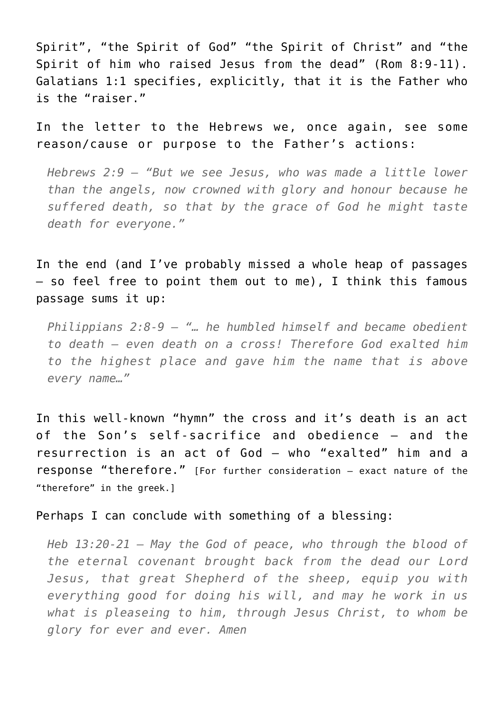Spirit", "the Spirit of God" "the Spirit of Christ" and "the Spirit of him who raised Jesus from the dead" (Rom 8:9-11). Galatians 1:1 specifies, explicitly, that it is the Father who is the "raiser."

In the letter to the Hebrews we, once again, see some reason/cause or purpose to the Father's actions:

*Hebrews 2:9 – "But we see Jesus, who was made a little lower than the angels, now crowned with glory and honour because he suffered death, so that by the grace of God he might taste death for everyone."*

In the end (and I've probably missed a whole heap of passages – so feel free to point them out to me), I think this famous passage sums it up:

*Philippians 2:8-9 – "… he humbled himself and became obedient to death – even death on a cross! Therefore God exalted him to the highest place and gave him the name that is above every name…"*

In this well-known "hymn" the cross and it's death is an act of the Son's self-sacrifice and obedience – and the resurrection is an act of God – who "exalted" him and a response "therefore." [For further consideration – exact nature of the "therefore" in the greek.]

Perhaps I can conclude with something of a blessing:

*Heb 13:20-21 – May the God of peace, who through the blood of the eternal covenant brought back from the dead our Lord Jesus, that great Shepherd of the sheep, equip you with everything good for doing his will, and may he work in us what is pleaseing to him, through Jesus Christ, to whom be glory for ever and ever. Amen*